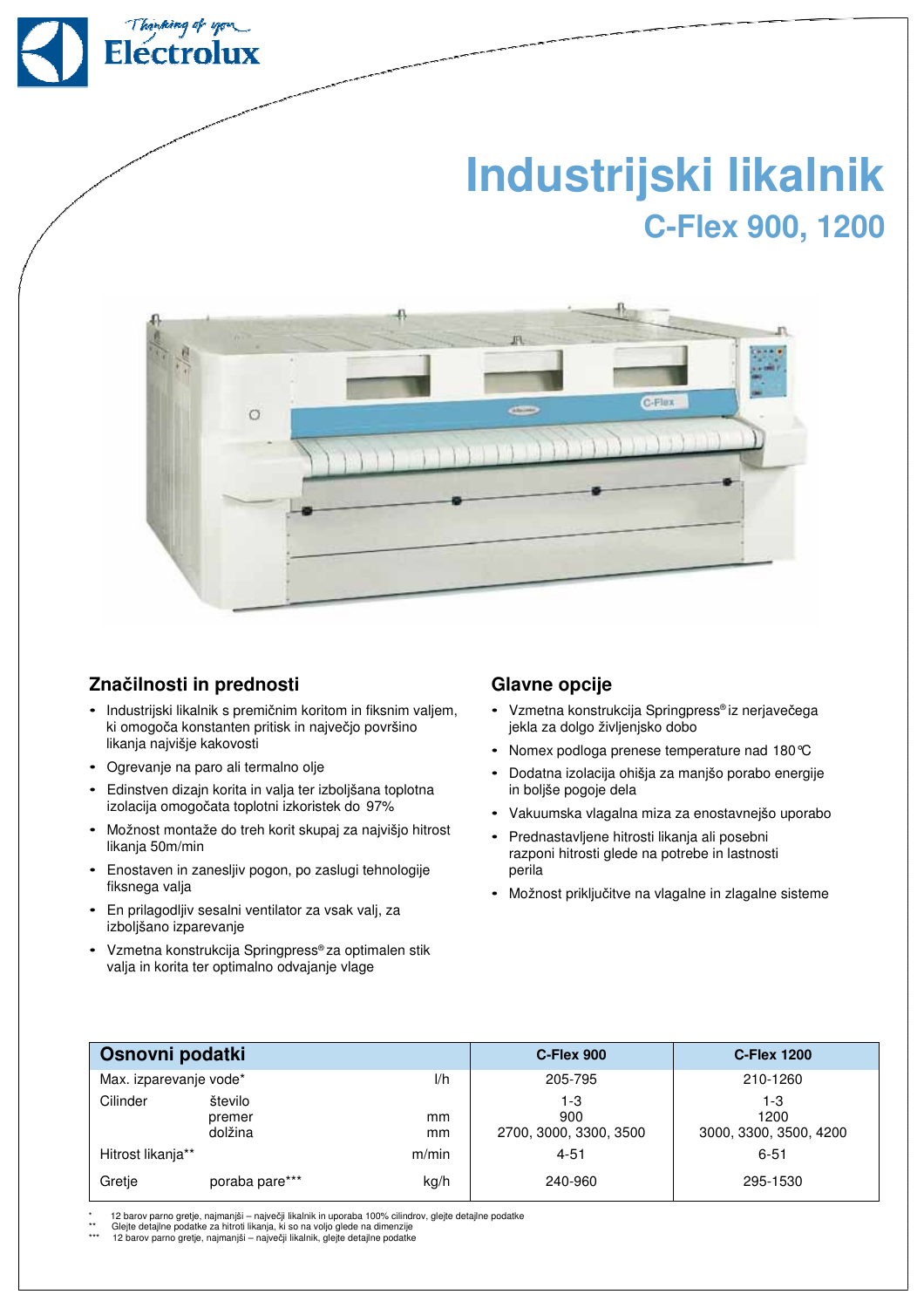

## **Industrijski likalnik C-Flex 900, 1200**



## **Zna**č**ilnosti in prednosti**

- Industrijski likalnik s premičnim koritom in fiksnim valjem, ki omogoča konstanten pritisk in največjo površino likanja najvišje kakovosti
- Ogrevanje na paro ali termalno olje
- Edinstven dizajn korita in valja ter izboljšana toplotna izolacija omogočata toplotni izkoristek do 97%
- Možnost montaže do treh korit skupaj za najvišjo hitrost likanja 50m/min
- Enostaven in zanesljiv pogon, po zaslugi tehnologije fiksnega valja
- En prilagodljiv sesalni ventilator za vsak valj, za izboljšano izparevanje
- Vzmetna konstrukcija Springpress® za optimalen stik valja in korita ter optimalno odvajanje vlage

## **Glavne opcije**

- Vzmetna konstrukcija Springpress® iz nerjavečega jekla za dolgo življenjsko dobo
- Nomex podloga prenese temperature nad 180°C
- Dodatna izolacija ohišja za manjšo porabo energije in boljše pogoje dela
- Vakuumska vlagalna miza za enostavnejšo uporabo
- Prednastavljene hitrosti likanja ali posebni razponi hitrosti glede na potrebe in lastnosti perila
- Možnost priključitve na vlagalne in zlagalne sisteme

| Osnovni podatki               |                              |          | C-Flex 900                           | <b>C-Flex 1200</b>                    |  |
|-------------------------------|------------------------------|----------|--------------------------------------|---------------------------------------|--|
| Max. izparevanje vode*<br>1/h |                              |          | 205-795                              | 210-1260                              |  |
| Cilinder                      | število<br>premer<br>dolžina | mm<br>mm | 1-3<br>900<br>2700, 3000, 3300, 3500 | 1-3<br>1200<br>3000, 3300, 3500, 4200 |  |
| Hitrost likanja**             |                              | m/min    | $4 - 51$                             | $6 - 51$                              |  |
| Gretje                        | poraba pare***               | kg/h     | 240-960                              | 295-1530                              |  |

\* 12 barov parno gretje, najmanjši – največji likalnik in uporaba 100% cilindrov, glejte detajlne podatke \*\* Glejte detajlne podatke za hitroti likanja, ki so na voljo glede na dimenzije

\*\*\* 12 barov parno gretje, najmanjši – največji likalnik, glejte detajlne podatke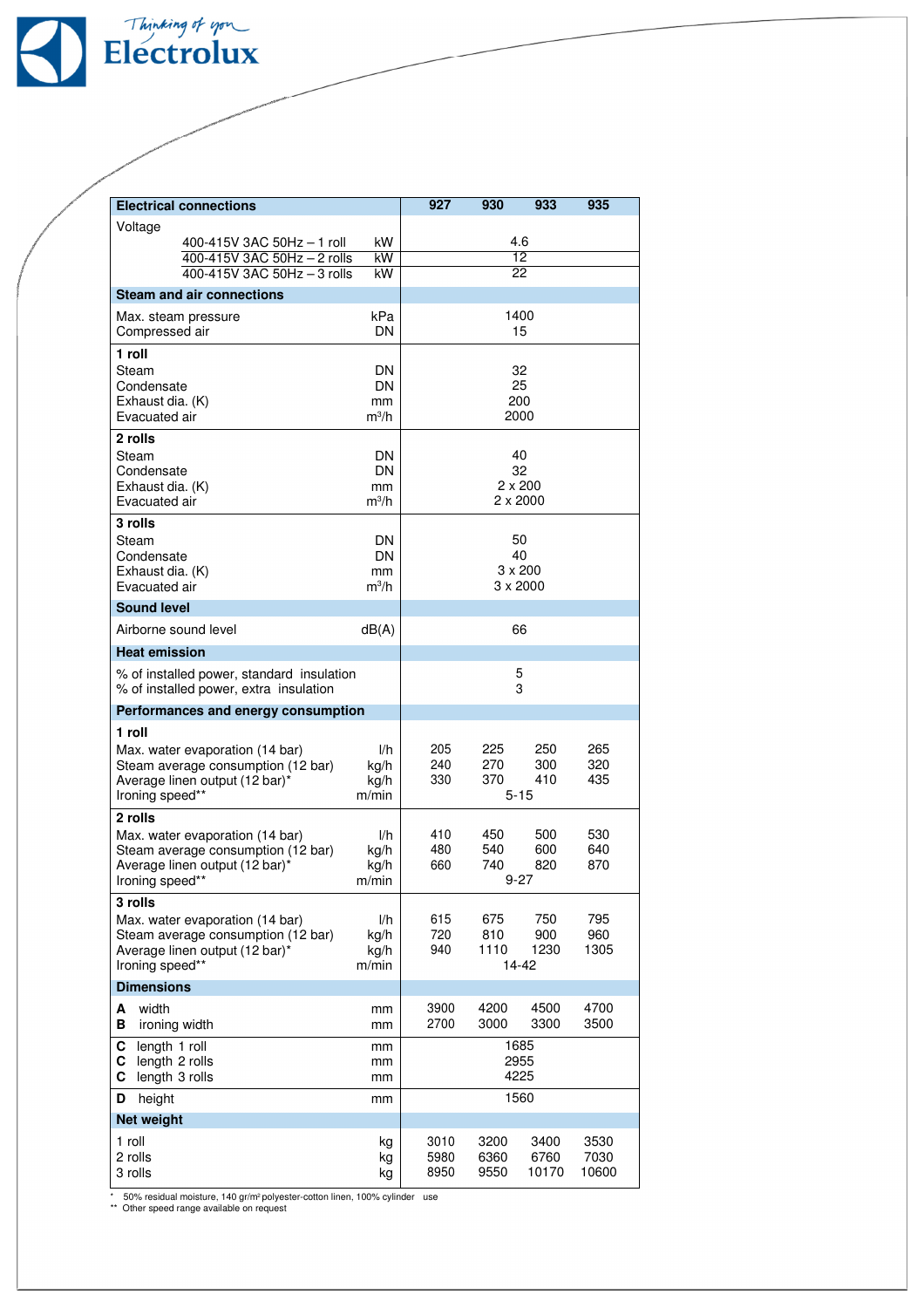

| <b>Electrical connections</b>                                                       | 927                   | 930             | 933                  | 935             |              |  |  |  |
|-------------------------------------------------------------------------------------|-----------------------|-----------------|----------------------|-----------------|--------------|--|--|--|
| Voltage                                                                             |                       |                 |                      |                 |              |  |  |  |
| 400-415V 3AC 50Hz - 1 roll                                                          | 4.6                   |                 |                      |                 |              |  |  |  |
| 400-415V 3AC 50Hz - 2 rolls<br>400-415V 3AC 50Hz - 3 rolls                          | $\overline{12}$<br>22 |                 |                      |                 |              |  |  |  |
| <b>Steam and air connections</b>                                                    |                       |                 |                      |                 |              |  |  |  |
| Max. steam pressure                                                                 | kPa                   | 1400            |                      |                 |              |  |  |  |
| Compressed air                                                                      | DN                    | 15              |                      |                 |              |  |  |  |
| 1 roll                                                                              |                       |                 |                      |                 |              |  |  |  |
| Steam                                                                               | DN                    |                 |                      | 32              |              |  |  |  |
| Condensate                                                                          | DN                    | 25              |                      |                 |              |  |  |  |
| Exhaust dia. (K)                                                                    | mm<br>$m^3/h$         | 200             |                      |                 |              |  |  |  |
| Evacuated air                                                                       | 2000                  |                 |                      |                 |              |  |  |  |
| 2 rolls<br>Steam                                                                    | DN                    | 40              |                      |                 |              |  |  |  |
| Condensate                                                                          | DN                    | 32              |                      |                 |              |  |  |  |
| Exhaust dia. (K)                                                                    | mm                    | $2 \times 200$  |                      |                 |              |  |  |  |
| Evacuated air                                                                       | $m^3/h$               |                 | $2 \times 2000$      |                 |              |  |  |  |
| 3 rolls                                                                             |                       |                 |                      |                 |              |  |  |  |
| Steam<br>Condensate                                                                 | DN<br>DN              |                 | 50                   |                 |              |  |  |  |
| Exhaust dia. (K)                                                                    | mm                    |                 | 40<br>$3 \times 200$ |                 |              |  |  |  |
| Evacuated air                                                                       | $m^3/h$               | $3 \times 2000$ |                      |                 |              |  |  |  |
| <b>Sound level</b>                                                                  |                       |                 |                      |                 |              |  |  |  |
| Airborne sound level                                                                | dB(A)                 | 66              |                      |                 |              |  |  |  |
| <b>Heat emission</b>                                                                |                       |                 |                      |                 |              |  |  |  |
| % of installed power, standard insulation<br>% of installed power, extra insulation |                       | 5<br>3          |                      |                 |              |  |  |  |
| Performances and energy consumption                                                 |                       |                 |                      |                 |              |  |  |  |
| 1 roll                                                                              |                       |                 |                      |                 |              |  |  |  |
| Max. water evaporation (14 bar)                                                     | l/h                   | 205             | 225                  | 250             | 265          |  |  |  |
| Steam average consumption (12 bar)<br>Average linen output (12 bar)*                | kg/h<br>kg/h          | 240<br>330      | 270<br>370           | 300<br>410      | 320<br>435   |  |  |  |
| Ironing speed**                                                                     | m/min                 |                 |                      | $5 - 15$        |              |  |  |  |
| 2 rolls                                                                             |                       |                 |                      |                 |              |  |  |  |
| Max. water evaporation (14 bar)                                                     | 1/h                   | 410             | 450                  | 500             | 530          |  |  |  |
| Steam average consumption (12 bar)                                                  | kg/h                  | 480             | 540                  | 600             | 640          |  |  |  |
| Average linen output (12 bar)*<br>Ironing speed**                                   | kg/h<br>m/min         | 660             | 740                  | 820<br>$9 - 27$ | 870          |  |  |  |
| 3 rolls                                                                             |                       |                 |                      |                 |              |  |  |  |
| Max. water evaporation (14 bar)                                                     | l/h                   | 615             | 675                  | 750             | 795          |  |  |  |
| Steam average consumption (12 bar)                                                  | kg/h                  | 720             | 810                  | 900             | 960          |  |  |  |
| Average linen output (12 bar)*                                                      | kg/h                  | 940             | 1110                 | 1230            | 1305         |  |  |  |
| Ironing speed**                                                                     | m/min                 |                 |                      | 14-42           |              |  |  |  |
| <b>Dimensions</b>                                                                   |                       |                 |                      |                 |              |  |  |  |
| width<br>A<br>в<br>ironing width                                                    | mm<br>mm              | 3900<br>2700    | 4200<br>3000         | 4500<br>3300    | 4700<br>3500 |  |  |  |
| length 1 roll<br>С<br>mm                                                            |                       | 1685            |                      |                 |              |  |  |  |
| C<br>length 2 rolls<br>mm<br>C<br>length 3 rolls<br>mm                              |                       | 2955<br>4225    |                      |                 |              |  |  |  |
| height<br>D<br>mm                                                                   |                       | 1560            |                      |                 |              |  |  |  |
| Net weight                                                                          |                       |                 |                      |                 |              |  |  |  |
| 1 roll<br>kg                                                                        |                       | 3010            | 3200                 | 3400            | 3530         |  |  |  |
| 2 rolls                                                                             |                       | 5980            | 6360                 | 6760            | 7030         |  |  |  |
| 3 rolls                                                                             | kg                    | 8950            | 9550                 | 10170           | 10600        |  |  |  |

\* 50% residual moisture, 140 gr/m<sup>2</sup>polyester-cotton linen, 100% cylinder use<br>\*\* Other speed range available on request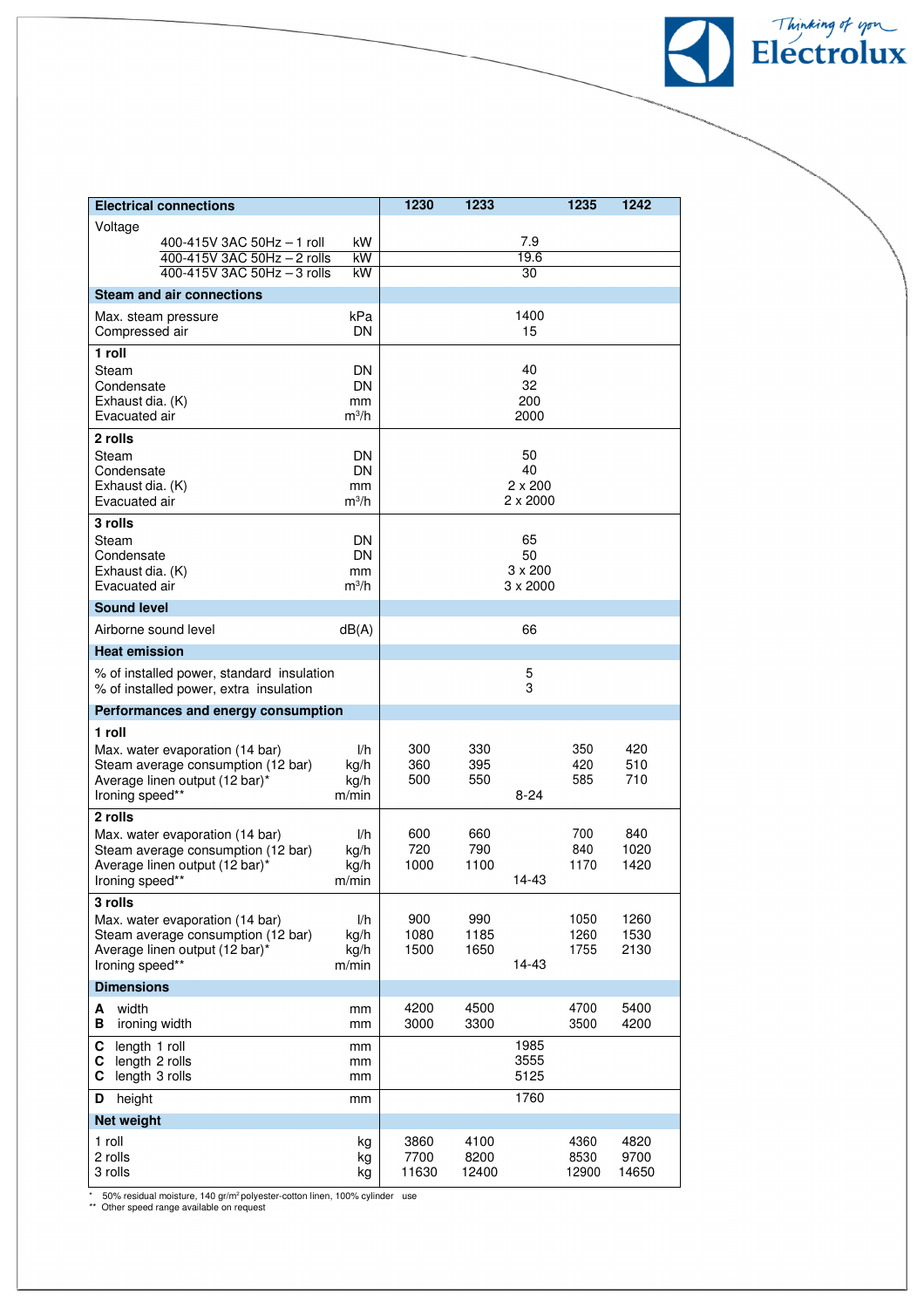| <b>Electrical connections</b>                                                                                                                                                                                                                                                                                                                                                           |                                                                                  | 1230                                             | 1233                                             |                              | 1235                                              | 1242                                               |
|-----------------------------------------------------------------------------------------------------------------------------------------------------------------------------------------------------------------------------------------------------------------------------------------------------------------------------------------------------------------------------------------|----------------------------------------------------------------------------------|--------------------------------------------------|--------------------------------------------------|------------------------------|---------------------------------------------------|----------------------------------------------------|
| Voltage                                                                                                                                                                                                                                                                                                                                                                                 |                                                                                  |                                                  |                                                  |                              |                                                   |                                                    |
| 400-415V 3AC 50Hz - 1 roll<br>400-415V 3AC 50Hz - 2 rolls                                                                                                                                                                                                                                                                                                                               | kW<br>kW                                                                         |                                                  |                                                  | 7.9<br>19.6                  |                                                   |                                                    |
| $400 - 415V$ 3AC 50Hz $-$ 3 rolls                                                                                                                                                                                                                                                                                                                                                       | kW                                                                               |                                                  |                                                  | 30                           |                                                   |                                                    |
| <b>Steam and air connections</b>                                                                                                                                                                                                                                                                                                                                                        |                                                                                  |                                                  |                                                  |                              |                                                   |                                                    |
| kPa<br>Max. steam pressure                                                                                                                                                                                                                                                                                                                                                              |                                                                                  |                                                  |                                                  | 1400                         |                                                   |                                                    |
| Compressed air                                                                                                                                                                                                                                                                                                                                                                          | DN                                                                               |                                                  |                                                  | 15                           |                                                   |                                                    |
| 1 roll                                                                                                                                                                                                                                                                                                                                                                                  |                                                                                  |                                                  |                                                  |                              |                                                   |                                                    |
| Steam                                                                                                                                                                                                                                                                                                                                                                                   | DN                                                                               |                                                  |                                                  | 40                           |                                                   |                                                    |
| Condensate<br>Exhaust dia. (K)                                                                                                                                                                                                                                                                                                                                                          | DN<br>mm                                                                         |                                                  |                                                  | 32<br>200                    |                                                   |                                                    |
| Evacuated air                                                                                                                                                                                                                                                                                                                                                                           | $m^3/h$                                                                          |                                                  |                                                  | 2000                         |                                                   |                                                    |
| 2 rolls                                                                                                                                                                                                                                                                                                                                                                                 |                                                                                  |                                                  |                                                  |                              |                                                   |                                                    |
| Steam                                                                                                                                                                                                                                                                                                                                                                                   | DN                                                                               |                                                  |                                                  | 50                           |                                                   |                                                    |
| Condensate<br>Exhaust dia. (K)                                                                                                                                                                                                                                                                                                                                                          | DN<br>mm                                                                         |                                                  |                                                  | 40<br>$2 \times 200$         |                                                   |                                                    |
| Evacuated air                                                                                                                                                                                                                                                                                                                                                                           | $m^3/h$                                                                          |                                                  |                                                  | $2 \times 2000$              |                                                   |                                                    |
| 3 rolls                                                                                                                                                                                                                                                                                                                                                                                 |                                                                                  |                                                  |                                                  |                              |                                                   |                                                    |
| Steam                                                                                                                                                                                                                                                                                                                                                                                   | DN                                                                               |                                                  |                                                  | 65                           |                                                   |                                                    |
|                                                                                                                                                                                                                                                                                                                                                                                         |                                                                                  |                                                  |                                                  |                              |                                                   |                                                    |
| Evacuated air                                                                                                                                                                                                                                                                                                                                                                           | $m^3/h$                                                                          |                                                  |                                                  | $3 \times 2000$              |                                                   |                                                    |
| <b>Sound level</b>                                                                                                                                                                                                                                                                                                                                                                      |                                                                                  |                                                  |                                                  |                              |                                                   |                                                    |
| Airborne sound level                                                                                                                                                                                                                                                                                                                                                                    | dB(A)                                                                            |                                                  |                                                  | 66                           |                                                   |                                                    |
| <b>Heat emission</b>                                                                                                                                                                                                                                                                                                                                                                    |                                                                                  |                                                  |                                                  |                              |                                                   |                                                    |
| % of installed power, standard insulation<br>% of installed power, extra insulation                                                                                                                                                                                                                                                                                                     | 5<br>3                                                                           |                                                  |                                                  |                              |                                                   |                                                    |
| Performances and energy consumption                                                                                                                                                                                                                                                                                                                                                     |                                                                                  |                                                  |                                                  |                              |                                                   |                                                    |
| 1 roll                                                                                                                                                                                                                                                                                                                                                                                  |                                                                                  |                                                  |                                                  |                              |                                                   |                                                    |
| Max. water evaporation (14 bar)                                                                                                                                                                                                                                                                                                                                                         | I/h                                                                              | 300                                              | 330                                              |                              | 350                                               | 420                                                |
|                                                                                                                                                                                                                                                                                                                                                                                         |                                                                                  | 500                                              | 550                                              |                              | 585                                               | 710                                                |
| Ironing speed**                                                                                                                                                                                                                                                                                                                                                                         | m/min                                                                            |                                                  |                                                  | $8 - 24$                     |                                                   |                                                    |
| 2 rolls                                                                                                                                                                                                                                                                                                                                                                                 |                                                                                  |                                                  |                                                  |                              |                                                   |                                                    |
|                                                                                                                                                                                                                                                                                                                                                                                         |                                                                                  |                                                  |                                                  |                              |                                                   |                                                    |
|                                                                                                                                                                                                                                                                                                                                                                                         |                                                                                  | 1000                                             | 1100                                             |                              | 1170                                              | 1420                                               |
| Ironing speed**                                                                                                                                                                                                                                                                                                                                                                         | m/min                                                                            |                                                  |                                                  | 14-43                        |                                                   |                                                    |
| 3 rolls                                                                                                                                                                                                                                                                                                                                                                                 |                                                                                  |                                                  |                                                  |                              |                                                   |                                                    |
|                                                                                                                                                                                                                                                                                                                                                                                         |                                                                                  |                                                  |                                                  |                              |                                                   |                                                    |
| Average linen output (12 bar)*                                                                                                                                                                                                                                                                                                                                                          | kg/h                                                                             | 1500                                             | 1650                                             |                              | 1755                                              | 2130                                               |
|                                                                                                                                                                                                                                                                                                                                                                                         | m/min                                                                            |                                                  |                                                  | 14-43                        |                                                   |                                                    |
| <b>Dimensions</b>                                                                                                                                                                                                                                                                                                                                                                       |                                                                                  |                                                  |                                                  |                              |                                                   |                                                    |
| width<br>А                                                                                                                                                                                                                                                                                                                                                                              | mm                                                                               | 4200                                             | 4500                                             |                              | 4700                                              | 5400                                               |
|                                                                                                                                                                                                                                                                                                                                                                                         |                                                                                  |                                                  |                                                  |                              |                                                   |                                                    |
| C                                                                                                                                                                                                                                                                                                                                                                                       | mm                                                                               |                                                  |                                                  | 3555                         |                                                   |                                                    |
| length 3 rolls<br>С                                                                                                                                                                                                                                                                                                                                                                     | mm                                                                               |                                                  |                                                  | 5125                         |                                                   |                                                    |
| height<br>D                                                                                                                                                                                                                                                                                                                                                                             | mm                                                                               |                                                  |                                                  | 1760                         |                                                   |                                                    |
| Net weight                                                                                                                                                                                                                                                                                                                                                                              |                                                                                  |                                                  |                                                  |                              |                                                   |                                                    |
| 1 roll                                                                                                                                                                                                                                                                                                                                                                                  | kg                                                                               | 3860                                             | 4100                                             |                              | 4360                                              | 4820                                               |
| 3 rolls                                                                                                                                                                                                                                                                                                                                                                                 | kg                                                                               | 11630                                            | 12400                                            |                              | 12900                                             | 14650                                              |
| Condensate<br>Exhaust dia. (K)<br>Steam average consumption (12 bar)<br>Average linen output (12 bar)*<br>Max. water evaporation (14 bar)<br>Steam average consumption (12 bar)<br>Average linen output (12 bar)*<br>Max. water evaporation (14 bar)<br>Steam average consumption (12 bar)<br>Ironing speed**<br>В<br>ironing width<br>length 1 roll<br>C.<br>length 2 rolls<br>2 rolls | DN<br>mm<br>kg/h<br>kg/h<br>1/h<br>kg/h<br>kg/h<br>l/h<br>kg/h<br>mm<br>mm<br>kg | 360<br>600<br>720<br>900<br>1080<br>3000<br>7700 | 395<br>660<br>790<br>990<br>1185<br>3300<br>8200 | 50<br>$3 \times 200$<br>1985 | 420<br>700<br>840<br>1050<br>1260<br>3500<br>8530 | 510<br>840<br>1020<br>1260<br>1530<br>4200<br>9700 |

Flectrolux

 $\overline{\mathcal{L}}$ 

\* 50% residual moisture, 140 gr/m² polyester-cotton linen, 100% cylinder use<br>\*\* Other speed range available on request